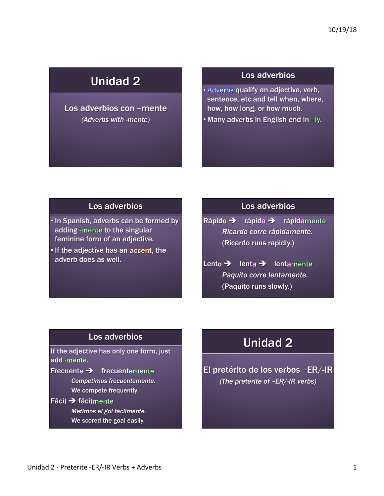## Unidad 2

#### Los adverbios con –mente *(Adverbs with -mente)*

#### Los adverbios

• Adverbs qualify an adjective, verb, sentence, etc and tell when, where, how, how long, or how much.

 $\cdot$  Many adverbs in English end in  $-Iy$ .

### Los adverbios

• In Spanish, adverbs can be formed by adding -mente to the singular feminine form of an adjective.

• If the adjective has an accent, the adverb does as well.

#### Los adverbios

Rápido  $\rightarrow$  rápida  $\rightarrow$  rápidamente *Ricardo corre rápidamente.*  (Ricardo runs rapidly.)

Lento  $\rightarrow$  lenta  $\rightarrow$  lentamente *Paquito corre lentamente.*  (Paquito runs slowly.)

#### Los adverbios

If the adjective has only one form, just add -mente.

- Frecuente  $\rightarrow$  frecuentemente *Competimos frecuentemente.*  We compete frequently.
- Fácil  $\rightarrow$  fácilmente

*Metimos el gol fácilmente.*  We scored the goal easily.

# Unidad 2

El pretérito de los verbos –ER/-IR *(The preterite of* –*ER/-IR verbs)*